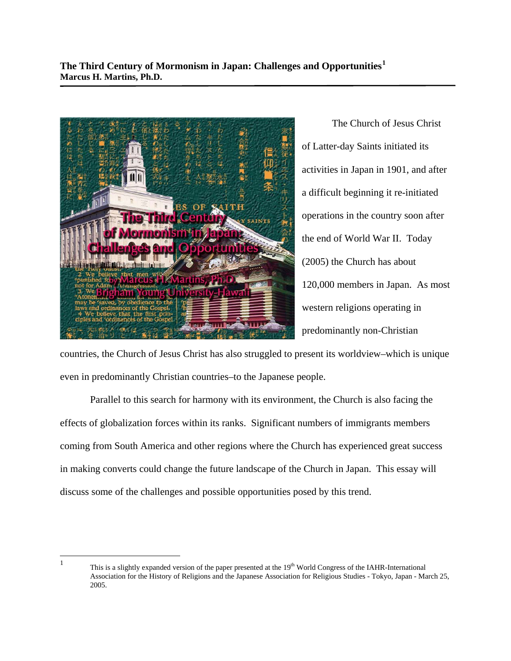

 The Church of Jesus Christ of Latter-day Saints initiated its activities in Japan in 1901, and after a difficult beginning it re-initiated operations in the country soon after the end of World War II. Today (2005) the Church has about 120,000 members in Japan. As most western religions operating in predominantly non-Christian

countries, the Church of Jesus Christ has also struggled to present its worldview–which is unique even in predominantly Christian countries–to the Japanese people.

 Parallel to this search for harmony with its environment, the Church is also facing the effects of globalization forces within its ranks. Significant numbers of immigrants members coming from South America and other regions where the Church has experienced great success in making converts could change the future landscape of the Church in Japan. This essay will discuss some of the challenges and possible opportunities posed by this trend.

<span id="page-0-0"></span> $\frac{1}{1}$ 

This is a slightly expanded version of the paper presented at the 19<sup>th</sup> World Congress of the IAHR-International Association for the History of Religions and the Japanese Association for Religious Studies - Tokyo, Japan - March 25, 2005.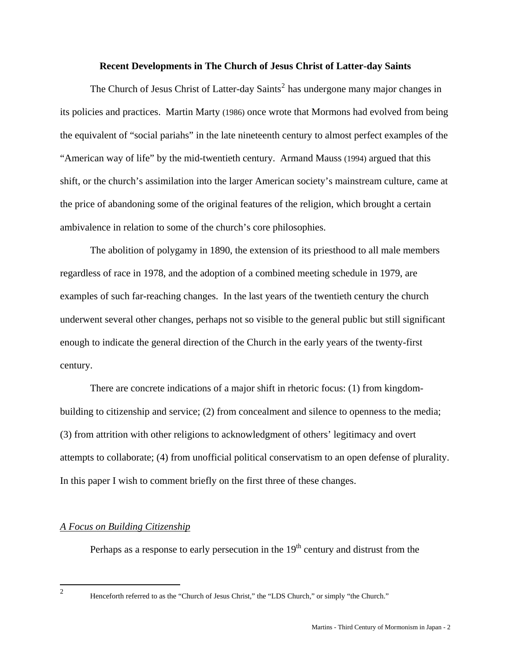#### **Recent Developments in The Church of Jesus Christ of Latter-day Saints**

The Church of Jesus Christ of Latter-day Saints<sup>[2](#page-1-0)</sup> has undergone many major changes in its policies and practices. Martin Marty (1986) once wrote that Mormons had evolved from being the equivalent of "social pariahs" in the late nineteenth century to almost perfect examples of the "American way of life" by the mid-twentieth century. Armand Mauss (1994) argued that this shift, or the church's assimilation into the larger American society's mainstream culture, came at the price of abandoning some of the original features of the religion, which brought a certain ambivalence in relation to some of the church's core philosophies.

 The abolition of polygamy in 1890, the extension of its priesthood to all male members regardless of race in 1978, and the adoption of a combined meeting schedule in 1979, are examples of such far-reaching changes. In the last years of the twentieth century the church underwent several other changes, perhaps not so visible to the general public but still significant enough to indicate the general direction of the Church in the early years of the twenty-first century.

 There are concrete indications of a major shift in rhetoric focus: (1) from kingdombuilding to citizenship and service; (2) from concealment and silence to openness to the media; (3) from attrition with other religions to acknowledgment of others' legitimacy and overt attempts to collaborate; (4) from unofficial political conservatism to an open defense of plurality. In this paper I wish to comment briefly on the first three of these changes.

## *A Focus on Building Citizenship*

Perhaps as a response to early persecution in the  $19<sup>th</sup>$  century and distrust from the

<span id="page-1-0"></span> $\frac{1}{2}$ 

Henceforth referred to as the "Church of Jesus Christ," the "LDS Church," or simply "the Church."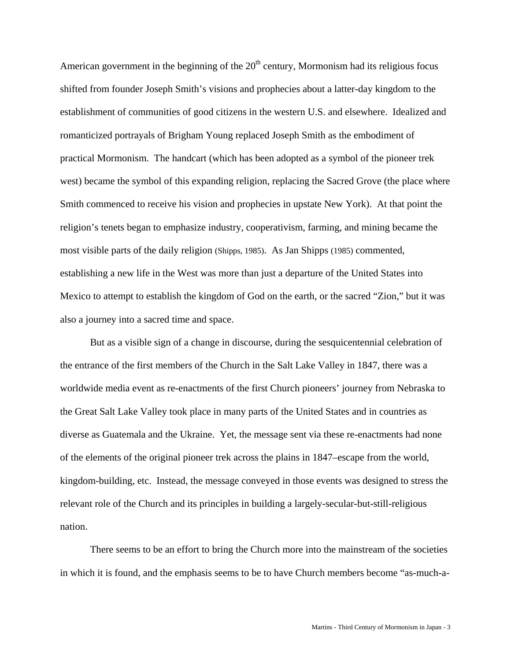American government in the beginning of the  $20<sup>th</sup>$  century, Mormonism had its religious focus shifted from founder Joseph Smith's visions and prophecies about a latter-day kingdom to the establishment of communities of good citizens in the western U.S. and elsewhere. Idealized and romanticized portrayals of Brigham Young replaced Joseph Smith as the embodiment of practical Mormonism. The handcart (which has been adopted as a symbol of the pioneer trek west) became the symbol of this expanding religion, replacing the Sacred Grove (the place where Smith commenced to receive his vision and prophecies in upstate New York). At that point the religion's tenets began to emphasize industry, cooperativism, farming, and mining became the most visible parts of the daily religion (Shipps, 1985). As Jan Shipps (1985) commented, establishing a new life in the West was more than just a departure of the United States into Mexico to attempt to establish the kingdom of God on the earth, or the sacred "Zion," but it was also a journey into a sacred time and space.

 But as a visible sign of a change in discourse, during the sesquicentennial celebration of the entrance of the first members of the Church in the Salt Lake Valley in 1847, there was a worldwide media event as re-enactments of the first Church pioneers' journey from Nebraska to the Great Salt Lake Valley took place in many parts of the United States and in countries as diverse as Guatemala and the Ukraine. Yet, the message sent via these re-enactments had none of the elements of the original pioneer trek across the plains in 1847–escape from the world, kingdom-building, etc. Instead, the message conveyed in those events was designed to stress the relevant role of the Church and its principles in building a largely-secular-but-still-religious nation.

 There seems to be an effort to bring the Church more into the mainstream of the societies in which it is found, and the emphasis seems to be to have Church members become "as-much-a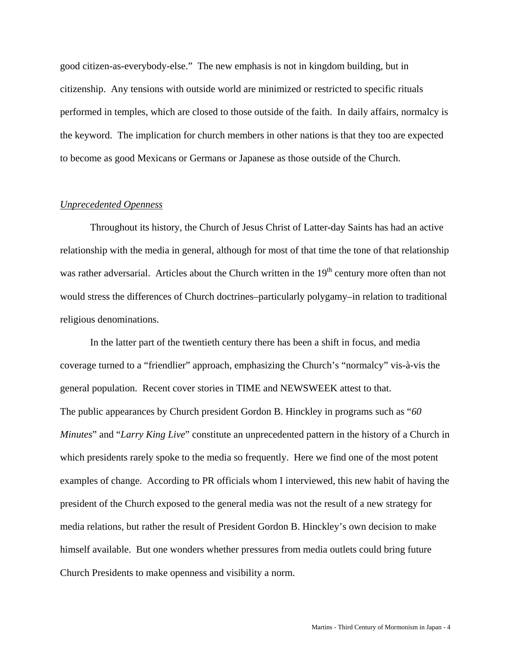good citizen-as-everybody-else." The new emphasis is not in kingdom building, but in citizenship. Any tensions with outside world are minimized or restricted to specific rituals performed in temples, which are closed to those outside of the faith. In daily affairs, normalcy is the keyword. The implication for church members in other nations is that they too are expected to become as good Mexicans or Germans or Japanese as those outside of the Church.

## *Unprecedented Openness*

 Throughout its history, the Church of Jesus Christ of Latter-day Saints has had an active relationship with the media in general, although for most of that time the tone of that relationship was rather adversarial. Articles about the Church written in the 19<sup>th</sup> century more often than not would stress the differences of Church doctrines–particularly polygamy–in relation to traditional religious denominations.

 In the latter part of the twentieth century there has been a shift in focus, and media coverage turned to a "friendlier" approach, emphasizing the Church's "normalcy" vis-à-vis the general population. Recent cover stories in TIME and NEWSWEEK attest to that. The public appearances by Church president Gordon B. Hinckley in programs such as "*60 Minutes*" and "*Larry King Live*" constitute an unprecedented pattern in the history of a Church in which presidents rarely spoke to the media so frequently. Here we find one of the most potent examples of change. According to PR officials whom I interviewed, this new habit of having the president of the Church exposed to the general media was not the result of a new strategy for media relations, but rather the result of President Gordon B. Hinckley's own decision to make himself available. But one wonders whether pressures from media outlets could bring future Church Presidents to make openness and visibility a norm.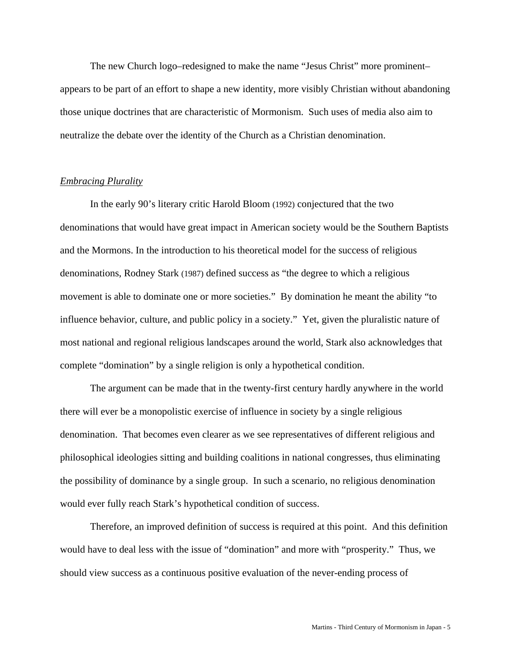The new Church logo–redesigned to make the name "Jesus Christ" more prominent– appears to be part of an effort to shape a new identity, more visibly Christian without abandoning those unique doctrines that are characteristic of Mormonism. Such uses of media also aim to neutralize the debate over the identity of the Church as a Christian denomination.

## *Embracing Plurality*

 In the early 90's literary critic Harold Bloom (1992) conjectured that the two denominations that would have great impact in American society would be the Southern Baptists and the Mormons. In the introduction to his theoretical model for the success of religious denominations, Rodney Stark (1987) defined success as "the degree to which a religious movement is able to dominate one or more societies." By domination he meant the ability "to influence behavior, culture, and public policy in a society." Yet, given the pluralistic nature of most national and regional religious landscapes around the world, Stark also acknowledges that complete "domination" by a single religion is only a hypothetical condition.

 The argument can be made that in the twenty-first century hardly anywhere in the world there will ever be a monopolistic exercise of influence in society by a single religious denomination. That becomes even clearer as we see representatives of different religious and philosophical ideologies sitting and building coalitions in national congresses, thus eliminating the possibility of dominance by a single group. In such a scenario, no religious denomination would ever fully reach Stark's hypothetical condition of success.

 Therefore, an improved definition of success is required at this point. And this definition would have to deal less with the issue of "domination" and more with "prosperity." Thus, we should view success as a continuous positive evaluation of the never-ending process of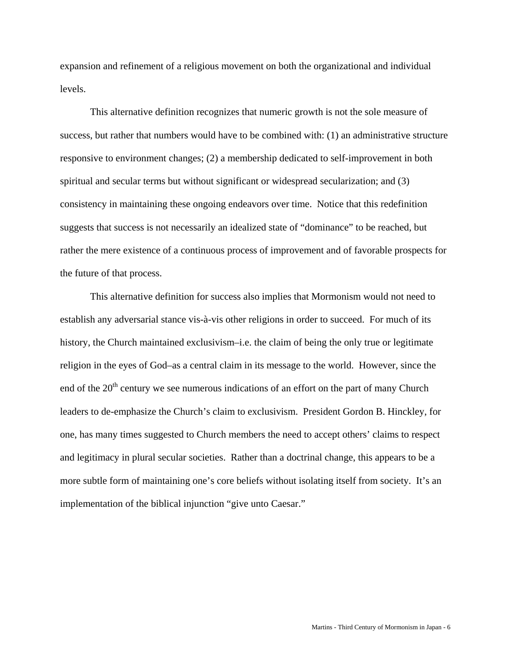expansion and refinement of a religious movement on both the organizational and individual levels.

 This alternative definition recognizes that numeric growth is not the sole measure of success, but rather that numbers would have to be combined with: (1) an administrative structure responsive to environment changes; (2) a membership dedicated to self-improvement in both spiritual and secular terms but without significant or widespread secularization; and (3) consistency in maintaining these ongoing endeavors over time. Notice that this redefinition suggests that success is not necessarily an idealized state of "dominance" to be reached, but rather the mere existence of a continuous process of improvement and of favorable prospects for the future of that process.

 This alternative definition for success also implies that Mormonism would not need to establish any adversarial stance vis-à-vis other religions in order to succeed. For much of its history, the Church maintained exclusivism–i.e. the claim of being the only true or legitimate religion in the eyes of God–as a central claim in its message to the world. However, since the end of the  $20<sup>th</sup>$  century we see numerous indications of an effort on the part of many Church leaders to de-emphasize the Church's claim to exclusivism. President Gordon B. Hinckley, for one, has many times suggested to Church members the need to accept others' claims to respect and legitimacy in plural secular societies. Rather than a doctrinal change, this appears to be a more subtle form of maintaining one's core beliefs without isolating itself from society. It's an implementation of the biblical injunction "give unto Caesar."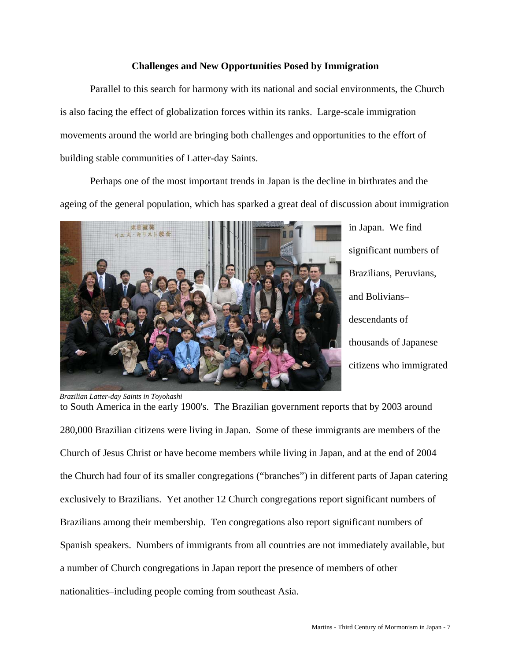# **Challenges and New Opportunities Posed by Immigration**

 Parallel to this search for harmony with its national and social environments, the Church is also facing the effect of globalization forces within its ranks. Large-scale immigration movements around the world are bringing both challenges and opportunities to the effort of building stable communities of Latter-day Saints.

 Perhaps one of the most important trends in Japan is the decline in birthrates and the ageing of the general population, which has sparked a great deal of discussion about immigration



in Japan. We find significant numbers of Brazilians, Peruvians, and Bolivians– descendants of thousands of Japanese citizens who immigrated

to South America in the early 1900's. The Brazilian government reports that by 2003 around 280,000 Brazilian citizens were living in Japan. Some of these immigrants are members of the Church of Jesus Christ or have become members while living in Japan, and at the end of 2004 the Church had four of its smaller congregations ("branches") in different parts of Japan catering exclusively to Brazilians. Yet another 12 Church congregations report significant numbers of Brazilians among their membership. Ten congregations also report significant numbers of Spanish speakers. Numbers of immigrants from all countries are not immediately available, but a number of Church congregations in Japan report the presence of members of other nationalities–including people coming from southeast Asia.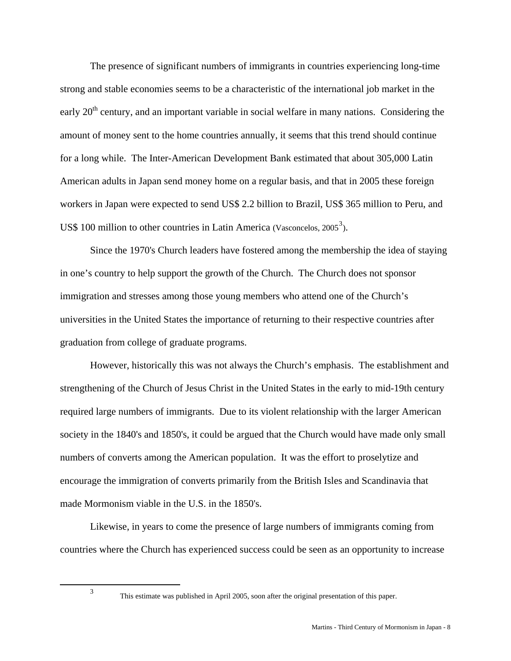The presence of significant numbers of immigrants in countries experiencing long-time strong and stable economies seems to be a characteristic of the international job market in the early  $20<sup>th</sup>$  century, and an important variable in social welfare in many nations. Considering the amount of money sent to the home countries annually, it seems that this trend should continue for a long while. The Inter-American Development Bank estimated that about 305,000 Latin American adults in Japan send money home on a regular basis, and that in 2005 these foreign workers in Japan were expected to send US\$ 2.2 billion to Brazil, US\$ 365 million to Peru, and US\$ 100 million to other countries in Latin America (Vasconcelos,  $2005^3$  $2005^3$ ).

 Since the 1970's Church leaders have fostered among the membership the idea of staying in one's country to help support the growth of the Church. The Church does not sponsor immigration and stresses among those young members who attend one of the Church's universities in the United States the importance of returning to their respective countries after graduation from college of graduate programs.

 However, historically this was not always the Church's emphasis. The establishment and strengthening of the Church of Jesus Christ in the United States in the early to mid-19th century required large numbers of immigrants. Due to its violent relationship with the larger American society in the 1840's and 1850's, it could be argued that the Church would have made only small numbers of converts among the American population. It was the effort to proselytize and encourage the immigration of converts primarily from the British Isles and Scandinavia that made Mormonism viable in the U.S. in the 1850's.

 Likewise, in years to come the presence of large numbers of immigrants coming from countries where the Church has experienced success could be seen as an opportunity to increase

<span id="page-7-0"></span> $\frac{1}{3}$ 

This estimate was published in April 2005, soon after the original presentation of this paper.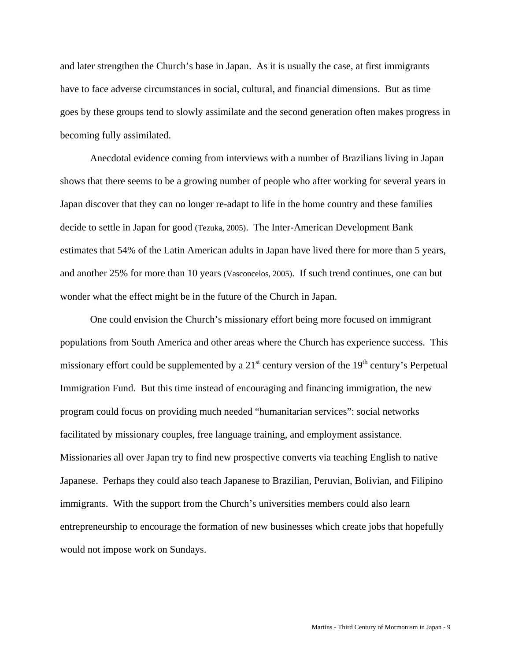and later strengthen the Church's base in Japan. As it is usually the case, at first immigrants have to face adverse circumstances in social, cultural, and financial dimensions. But as time goes by these groups tend to slowly assimilate and the second generation often makes progress in becoming fully assimilated.

 Anecdotal evidence coming from interviews with a number of Brazilians living in Japan shows that there seems to be a growing number of people who after working for several years in Japan discover that they can no longer re-adapt to life in the home country and these families decide to settle in Japan for good (Tezuka, 2005). The Inter-American Development Bank estimates that 54% of the Latin American adults in Japan have lived there for more than 5 years, and another 25% for more than 10 years (Vasconcelos, 2005). If such trend continues, one can but wonder what the effect might be in the future of the Church in Japan.

One could envision the Church's missionary effort being more focused on immigrant populations from South America and other areas where the Church has experience success. This missionary effort could be supplemented by a  $21<sup>st</sup>$  century version of the  $19<sup>th</sup>$  century's Perpetual Immigration Fund. But this time instead of encouraging and financing immigration, the new program could focus on providing much needed "humanitarian services": social networks facilitated by missionary couples, free language training, and employment assistance. Missionaries all over Japan try to find new prospective converts via teaching English to native Japanese. Perhaps they could also teach Japanese to Brazilian, Peruvian, Bolivian, and Filipino immigrants. With the support from the Church's universities members could also learn entrepreneurship to encourage the formation of new businesses which create jobs that hopefully would not impose work on Sundays.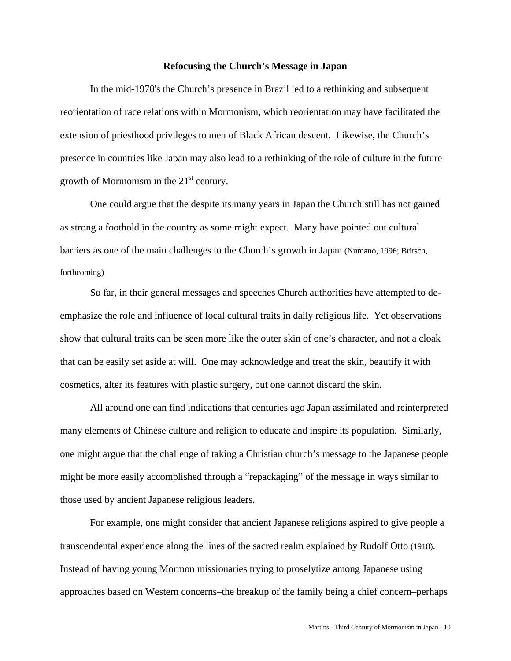#### **Refocusing the Church's Message in Japan**

 In the mid-1970's the Church's presence in Brazil led to a rethinking and subsequent reorientation of race relations within Mormonism, which reorientation may have facilitated the extension of priesthood privileges to men of Black African descent. Likewise, the Church's presence in countries like Japan may also lead to a rethinking of the role of culture in the future growth of Mormonism in the  $21<sup>st</sup>$  century.

 One could argue that the despite its many years in Japan the Church still has not gained as strong a foothold in the country as some might expect. Many have pointed out cultural barriers as one of the main challenges to the Church's growth in Japan (Numano, 1996; Britsch, forthcoming)

 So far, in their general messages and speeches Church authorities have attempted to deemphasize the role and influence of local cultural traits in daily religious life. Yet observations show that cultural traits can be seen more like the outer skin of one's character, and not a cloak that can be easily set aside at will. One may acknowledge and treat the skin, beautify it with cosmetics, alter its features with plastic surgery, but one cannot discard the skin.

 All around one can find indications that centuries ago Japan assimilated and reinterpreted many elements of Chinese culture and religion to educate and inspire its population. Similarly, one might argue that the challenge of taking a Christian church's message to the Japanese people might be more easily accomplished through a "repackaging" of the message in ways similar to those used by ancient Japanese religious leaders.

 For example, one might consider that ancient Japanese religions aspired to give people a transcendental experience along the lines of the sacred realm explained by Rudolf Otto (1918). Instead of having young Mormon missionaries trying to proselytize among Japanese using approaches based on Western concerns–the breakup of the family being a chief concern–perhaps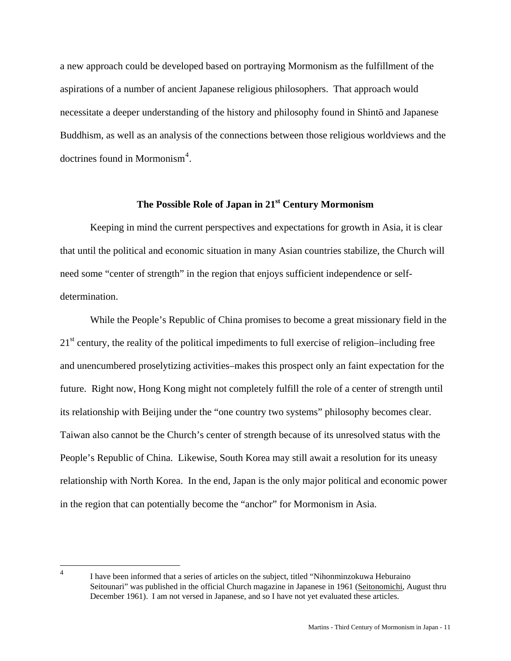a new approach could be developed based on portraying Mormonism as the fulfillment of the aspirations of a number of ancient Japanese religious philosophers. That approach would necessitate a deeper understanding of the history and philosophy found in Shinto and Japanese Buddhism, as well as an analysis of the connections between those religious worldviews and the doctrines found in Mormonism<sup>[4](#page-10-0)</sup>.

# **The Possible Role of Japan in 21st Century Mormonism**

 Keeping in mind the current perspectives and expectations for growth in Asia, it is clear that until the political and economic situation in many Asian countries stabilize, the Church will need some "center of strength" in the region that enjoys sufficient independence or selfdetermination.

While the People's Republic of China promises to become a great missionary field in the  $21<sup>st</sup>$  century, the reality of the political impediments to full exercise of religion–including free and unencumbered proselytizing activities–makes this prospect only an faint expectation for the future. Right now, Hong Kong might not completely fulfill the role of a center of strength until its relationship with Beijing under the "one country two systems" philosophy becomes clear. Taiwan also cannot be the Church's center of strength because of its unresolved status with the People's Republic of China. Likewise, South Korea may still await a resolution for its uneasy relationship with North Korea. In the end, Japan is the only major political and economic power in the region that can potentially become the "anchor" for Mormonism in Asia.

<span id="page-10-0"></span> $\frac{1}{4}$ 

I have been informed that a series of articles on the subject, titled "Nihonminzokuwa Heburaino Seitounari" was published in the official Church magazine in Japanese in 1961 (Seitonomichi, August thru December 1961). I am not versed in Japanese, and so I have not yet evaluated these articles.